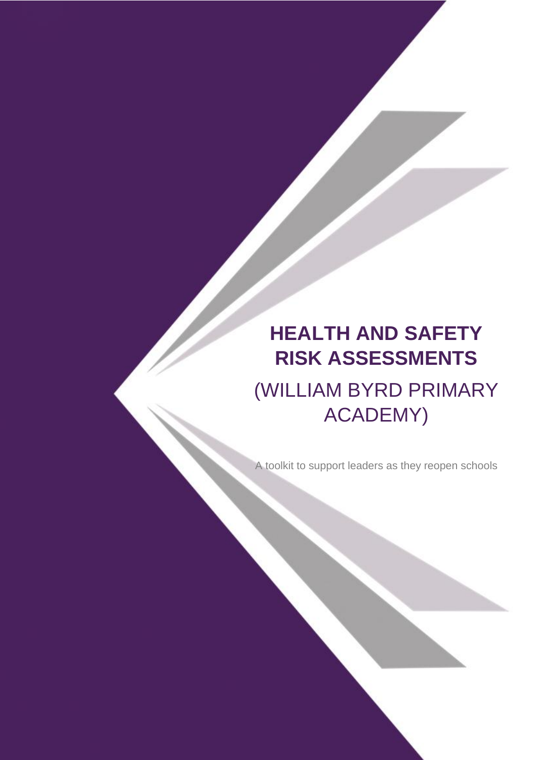# **HEALTH AND SAFETY RISK ASSESSMENTS**

(WILLIAM BYRD PRIMARY ACADEMY)

A toolkit to support leaders as they reopen schools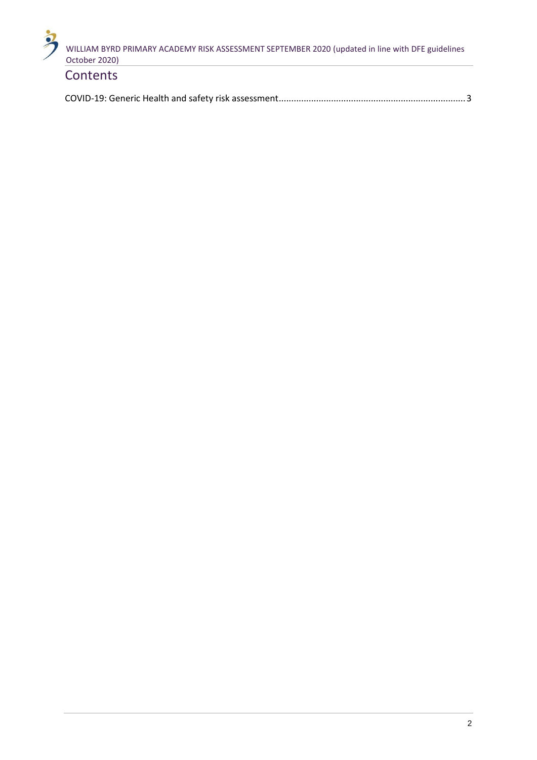

### **Contents**

|--|--|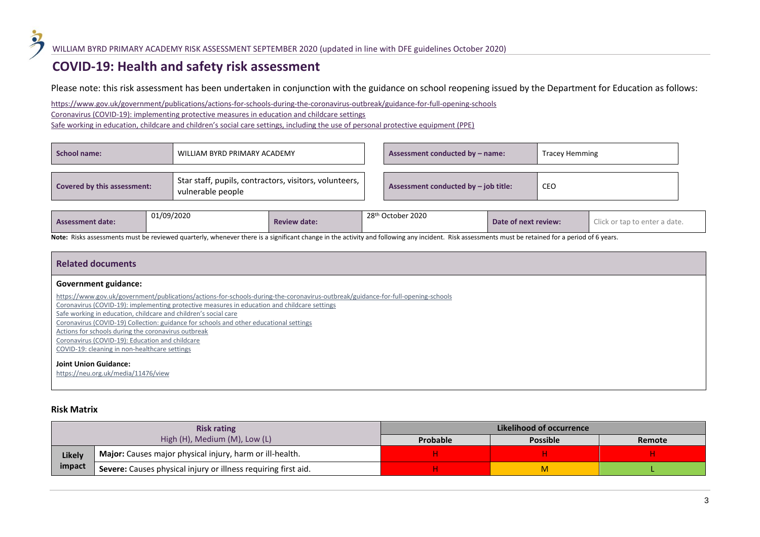#### **COVID-19: Health and safety risk assessment**

Please note: this risk assessment has been undertaken in conjunction with the guidance on school reopening issued by the Department for Education as follows:

<https://www.gov.uk/government/publications/actions-for-schools-during-the-coronavirus-outbreak/guidance-for-full-opening-schools>

[Coronavirus \(COVID-19\): implementing protective measures in education and childcare settings](https://www.gov.uk/government/publications/coronavirus-covid-19-implementing-protective-measures-in-education-and-childcare-settings?utm_source=0e6da19a-f422-4893-af47-770e78e58269&utm_medium=email&utm_campaign=govuk-notifications&utm_content=immediate)

Safe working in education[, childcare and children's social care settings, including the use of personal protective equipment \(PPE\)](https://www.gov.uk/government/publications/safe-working-in-education-childcare-and-childrens-social-care/safe-working-in-education-childcare-and-childrens-social-care-settings-including-the-use-of-personal-protective-equipment-ppe)

| <b>School name:</b>                | WILLIAM BYRD PRIMARY ACADEMY                                                | Assessment conducted by - name:      | <b>Tracey Hemming</b> |
|------------------------------------|-----------------------------------------------------------------------------|--------------------------------------|-----------------------|
| <b>Covered by this assessment:</b> | Star staff, pupils, contractors, visitors, volunteers,<br>vulnerable people | Assessment conducted by - job title: | CEO                   |

Note: Risks assessments must be reviewed quarterly, whenever there is a significant change in the activity and following any incident. Risk assessments must be retained for a period of 6 years.

<span id="page-2-0"></span>

| <b>Related documents</b>                                                                                                         |
|----------------------------------------------------------------------------------------------------------------------------------|
| Government guidance:                                                                                                             |
| https://www.gov.uk/government/publications/actions-for-schools-during-the-coronavirus-outbreak/guidance-for-full-opening-schools |
| Coronavirus (COVID-19): implementing protective measures in education and childcare settings                                     |
| Safe working in education, childcare and children's social care                                                                  |
| Coronavirus (COVID-19) Collection: guidance for schools and other educational settings                                           |
| Actions for schools during the coronavirus outbreak                                                                              |
| Coronavirus (COVID-19): Education and childcare                                                                                  |
| COVID-19: cleaning in non-healthcare settings                                                                                    |
| <b>Joint Union Guidance:</b><br>https://neu.org.uk/media/11476/view                                                              |

#### **Risk Matrix**

|        | <b>Risk rating</b>                                                    | Likelihood of occurrence |                 |        |  |  |
|--------|-----------------------------------------------------------------------|--------------------------|-----------------|--------|--|--|
|        | High (H), Medium (M), Low (L)                                         | Probable                 | <b>Possible</b> | Remote |  |  |
| Likely | Major: Causes major physical injury, harm or ill-health.              |                          |                 |        |  |  |
| impact | <b>Severe:</b> Causes physical injury or illness requiring first aid. |                          | M               |        |  |  |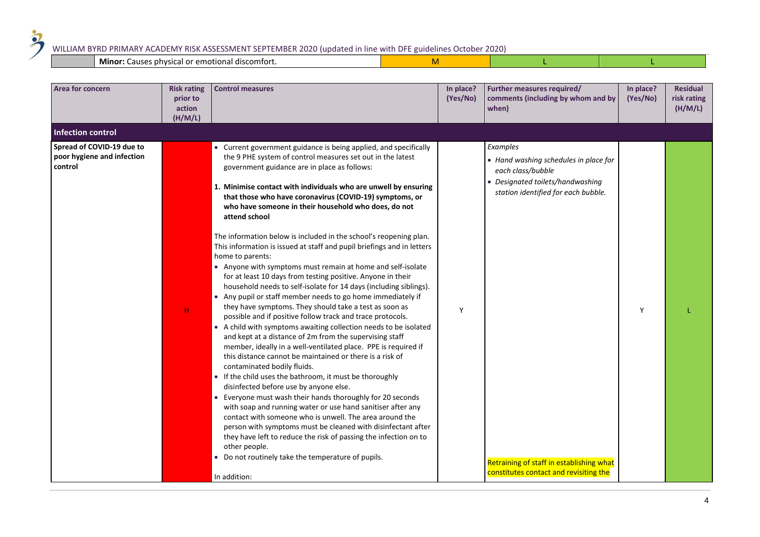**Minor:** Causes physical or emotional discomfort.

| <b>Area for concern</b>                                            | <b>Risk rating</b><br>prior to<br>action<br>(H/M/L) | <b>Control measures</b>                                                                                                                                                                                                                                                                                                                                                                                                                                                                                                                                                                                                                                                                                                                                                                                                                                                                                                                                                                                                                                                                                                                                                                                                                                                                                                                                                       | In place?<br>(Yes/No) | Further measures required/<br>comments (including by whom and by<br>when)                                                                       | In place?<br>(Yes/No) | <b>Residual</b><br>risk rating<br>(H/M/L) |
|--------------------------------------------------------------------|-----------------------------------------------------|-------------------------------------------------------------------------------------------------------------------------------------------------------------------------------------------------------------------------------------------------------------------------------------------------------------------------------------------------------------------------------------------------------------------------------------------------------------------------------------------------------------------------------------------------------------------------------------------------------------------------------------------------------------------------------------------------------------------------------------------------------------------------------------------------------------------------------------------------------------------------------------------------------------------------------------------------------------------------------------------------------------------------------------------------------------------------------------------------------------------------------------------------------------------------------------------------------------------------------------------------------------------------------------------------------------------------------------------------------------------------------|-----------------------|-------------------------------------------------------------------------------------------------------------------------------------------------|-----------------------|-------------------------------------------|
| <b>Infection control</b>                                           |                                                     |                                                                                                                                                                                                                                                                                                                                                                                                                                                                                                                                                                                                                                                                                                                                                                                                                                                                                                                                                                                                                                                                                                                                                                                                                                                                                                                                                                               |                       |                                                                                                                                                 |                       |                                           |
| Spread of COVID-19 due to<br>poor hygiene and infection<br>control |                                                     | • Current government guidance is being applied, and specifically<br>the 9 PHE system of control measures set out in the latest<br>government guidance are in place as follows:<br>1. Minimise contact with individuals who are unwell by ensuring<br>that those who have coronavirus (COVID-19) symptoms, or<br>who have someone in their household who does, do not<br>attend school                                                                                                                                                                                                                                                                                                                                                                                                                                                                                                                                                                                                                                                                                                                                                                                                                                                                                                                                                                                         |                       | Examples<br>• Hand washing schedules in place for<br>each class/bubble<br>Designated toilets/handwashing<br>station identified for each bubble. |                       |                                           |
|                                                                    | н                                                   | The information below is included in the school's reopening plan.<br>This information is issued at staff and pupil briefings and in letters<br>home to parents:<br>• Anyone with symptoms must remain at home and self-isolate<br>for at least 10 days from testing positive. Anyone in their<br>household needs to self-isolate for 14 days (including siblings).<br>• Any pupil or staff member needs to go home immediately if<br>they have symptoms. They should take a test as soon as<br>possible and if positive follow track and trace protocols.<br>• A child with symptoms awaiting collection needs to be isolated<br>and kept at a distance of 2m from the supervising staff<br>member, ideally in a well-ventilated place. PPE is required if<br>this distance cannot be maintained or there is a risk of<br>contaminated bodily fluids.<br>• If the child uses the bathroom, it must be thoroughly<br>disinfected before use by anyone else.<br>• Everyone must wash their hands thoroughly for 20 seconds<br>with soap and running water or use hand sanitiser after any<br>contact with someone who is unwell. The area around the<br>person with symptoms must be cleaned with disinfectant after<br>they have left to reduce the risk of passing the infection on to<br>other people.<br>• Do not routinely take the temperature of pupils.<br>In addition: | Y                     | Retraining of staff in establishing what<br>constitutes contact and revisiting the                                                              | Y                     |                                           |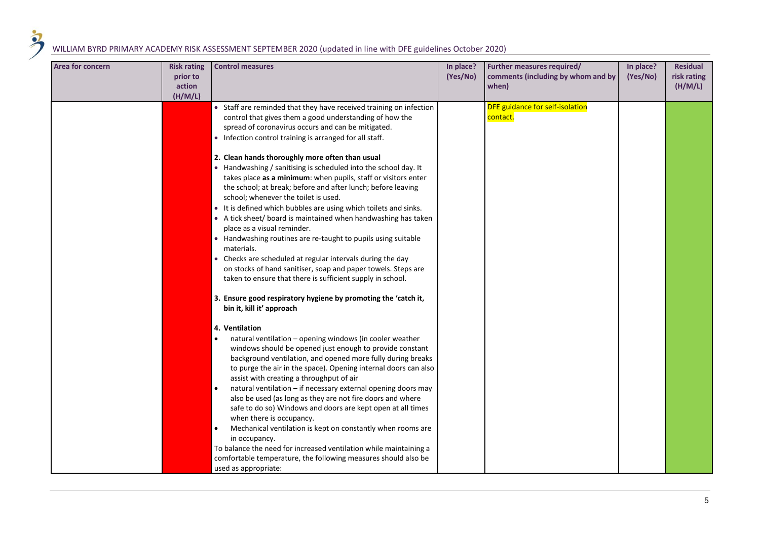| <b>Area for concern</b> | <b>Risk rating</b><br>prior to<br>action<br>(H/M/L) | <b>Control measures</b>                                                                                                                                                                                                                                                                                                                                                                                                                                                                                                                                                                                                                                                                                                                                                                                                                                                                                                                                                                                                                                                                                                                                                                                                                                                                                                                                                                                                                                                                                                                                                                                                                                                                                                                                                                                                                                                                                                   | In place?<br>(Yes/No) | Further measures required/<br>comments (including by whom and by<br>when) | In place?<br>(Yes/No) | <b>Residual</b><br>risk rating<br>(H/M/L) |
|-------------------------|-----------------------------------------------------|---------------------------------------------------------------------------------------------------------------------------------------------------------------------------------------------------------------------------------------------------------------------------------------------------------------------------------------------------------------------------------------------------------------------------------------------------------------------------------------------------------------------------------------------------------------------------------------------------------------------------------------------------------------------------------------------------------------------------------------------------------------------------------------------------------------------------------------------------------------------------------------------------------------------------------------------------------------------------------------------------------------------------------------------------------------------------------------------------------------------------------------------------------------------------------------------------------------------------------------------------------------------------------------------------------------------------------------------------------------------------------------------------------------------------------------------------------------------------------------------------------------------------------------------------------------------------------------------------------------------------------------------------------------------------------------------------------------------------------------------------------------------------------------------------------------------------------------------------------------------------------------------------------------------------|-----------------------|---------------------------------------------------------------------------|-----------------------|-------------------------------------------|
|                         |                                                     | • Staff are reminded that they have received training on infection<br>control that gives them a good understanding of how the<br>spread of coronavirus occurs and can be mitigated.<br>• Infection control training is arranged for all staff.<br>2. Clean hands thoroughly more often than usual<br>• Handwashing / sanitising is scheduled into the school day. It<br>takes place as a minimum: when pupils, staff or visitors enter<br>the school; at break; before and after lunch; before leaving<br>school; whenever the toilet is used.<br>• It is defined which bubbles are using which toilets and sinks.<br>• A tick sheet/ board is maintained when handwashing has taken<br>place as a visual reminder.<br>• Handwashing routines are re-taught to pupils using suitable<br>materials.<br>• Checks are scheduled at regular intervals during the day<br>on stocks of hand sanitiser, soap and paper towels. Steps are<br>taken to ensure that there is sufficient supply in school.<br>3. Ensure good respiratory hygiene by promoting the 'catch it,<br>bin it, kill it' approach<br>4. Ventilation<br>natural ventilation - opening windows (in cooler weather<br>windows should be opened just enough to provide constant<br>background ventilation, and opened more fully during breaks<br>to purge the air in the space). Opening internal doors can also<br>assist with creating a throughput of air<br>natural ventilation – if necessary external opening doors may<br>$\bullet$<br>also be used (as long as they are not fire doors and where<br>safe to do so) Windows and doors are kept open at all times<br>when there is occupancy.<br>Mechanical ventilation is kept on constantly when rooms are<br>$\bullet$<br>in occupancy.<br>To balance the need for increased ventilation while maintaining a<br>comfortable temperature, the following measures should also be<br>used as appropriate: |                       | DFE guidance for self-isolation<br>contact.                               |                       |                                           |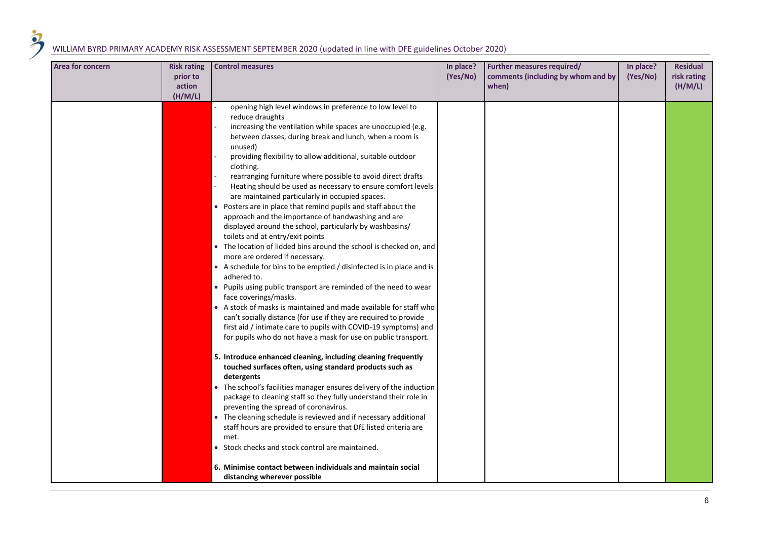$\zeta$ 

| Area for concern | <b>Risk rating</b><br>prior to<br>action<br>(H/M/L) | <b>Control measures</b>                                                                                                                                                                                                                                                                                                                                                                                                                                                                                                                                                                                                                                                                                                                                                                                                                                                                                                                                                                                                                                                                                                                                                                                                                                                                                                                                                                                                                                                                                                                                                                                                                                                                                                                                                                                                                                                                                         | In place?<br>(Yes/No) | Further measures required/<br>comments (including by whom and by<br>when) | In place?<br>(Yes/No) | <b>Residual</b><br>risk rating<br>(H/M/L) |
|------------------|-----------------------------------------------------|-----------------------------------------------------------------------------------------------------------------------------------------------------------------------------------------------------------------------------------------------------------------------------------------------------------------------------------------------------------------------------------------------------------------------------------------------------------------------------------------------------------------------------------------------------------------------------------------------------------------------------------------------------------------------------------------------------------------------------------------------------------------------------------------------------------------------------------------------------------------------------------------------------------------------------------------------------------------------------------------------------------------------------------------------------------------------------------------------------------------------------------------------------------------------------------------------------------------------------------------------------------------------------------------------------------------------------------------------------------------------------------------------------------------------------------------------------------------------------------------------------------------------------------------------------------------------------------------------------------------------------------------------------------------------------------------------------------------------------------------------------------------------------------------------------------------------------------------------------------------------------------------------------------------|-----------------------|---------------------------------------------------------------------------|-----------------------|-------------------------------------------|
|                  |                                                     | opening high level windows in preference to low level to<br>reduce draughts<br>increasing the ventilation while spaces are unoccupied (e.g.<br>between classes, during break and lunch, when a room is<br>unused)<br>providing flexibility to allow additional, suitable outdoor<br>clothing.<br>rearranging furniture where possible to avoid direct drafts<br>Heating should be used as necessary to ensure comfort levels<br>are maintained particularly in occupied spaces.<br>• Posters are in place that remind pupils and staff about the<br>approach and the importance of handwashing and are<br>displayed around the school, particularly by washbasins/<br>toilets and at entry/exit points<br>• The location of lidded bins around the school is checked on, and<br>more are ordered if necessary.<br>• A schedule for bins to be emptied / disinfected is in place and is<br>adhered to.<br>• Pupils using public transport are reminded of the need to wear<br>face coverings/masks.<br>• A stock of masks is maintained and made available for staff who<br>can't socially distance (for use if they are required to provide<br>first aid / intimate care to pupils with COVID-19 symptoms) and<br>for pupils who do not have a mask for use on public transport.<br>5. Introduce enhanced cleaning, including cleaning frequently<br>touched surfaces often, using standard products such as<br>detergents<br>• The school's facilities manager ensures delivery of the induction<br>package to cleaning staff so they fully understand their role in<br>preventing the spread of coronavirus.<br>• The cleaning schedule is reviewed and if necessary additional<br>staff hours are provided to ensure that DfE listed criteria are<br>met.<br>• Stock checks and stock control are maintained.<br>6. Minimise contact between individuals and maintain social<br>distancing wherever possible |                       |                                                                           |                       |                                           |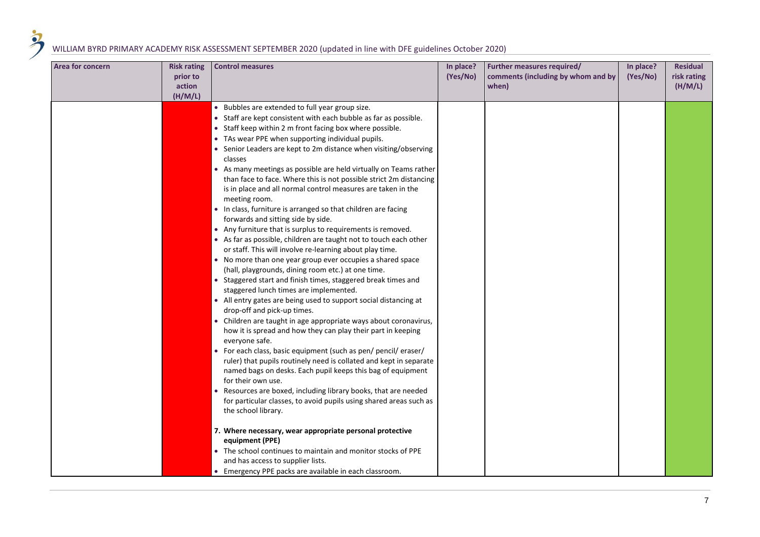| Area for concern | <b>Risk rating</b><br>prior to<br>action<br>(H/M/L) | <b>Control measures</b>                                                                                                                                                                                                                                                                                                                                                                                                                                                                                                                                                                                                                                                                                                                                                                                                                                                                                                                                                                                                                                                                                                                                                                                                                                                                                                                                                                                                                                                                                                                                                                                                                                                                                                                                                                                                                                                                                                                                                                    | In place?<br>(Yes/No) | Further measures required/<br>comments (including by whom and by<br>when) | In place?<br>(Yes/No) | <b>Residual</b><br>risk rating<br>(H/M/L) |
|------------------|-----------------------------------------------------|--------------------------------------------------------------------------------------------------------------------------------------------------------------------------------------------------------------------------------------------------------------------------------------------------------------------------------------------------------------------------------------------------------------------------------------------------------------------------------------------------------------------------------------------------------------------------------------------------------------------------------------------------------------------------------------------------------------------------------------------------------------------------------------------------------------------------------------------------------------------------------------------------------------------------------------------------------------------------------------------------------------------------------------------------------------------------------------------------------------------------------------------------------------------------------------------------------------------------------------------------------------------------------------------------------------------------------------------------------------------------------------------------------------------------------------------------------------------------------------------------------------------------------------------------------------------------------------------------------------------------------------------------------------------------------------------------------------------------------------------------------------------------------------------------------------------------------------------------------------------------------------------------------------------------------------------------------------------------------------------|-----------------------|---------------------------------------------------------------------------|-----------------------|-------------------------------------------|
|                  |                                                     | • Bubbles are extended to full year group size.<br>• Staff are kept consistent with each bubble as far as possible.<br>• Staff keep within 2 m front facing box where possible.<br>• TAs wear PPE when supporting individual pupils.<br>• Senior Leaders are kept to 2m distance when visiting/observing<br>classes<br>• As many meetings as possible are held virtually on Teams rather<br>than face to face. Where this is not possible strict 2m distancing<br>is in place and all normal control measures are taken in the<br>meeting room.<br>• In class, furniture is arranged so that children are facing<br>forwards and sitting side by side.<br>• Any furniture that is surplus to requirements is removed.<br>• As far as possible, children are taught not to touch each other<br>or staff. This will involve re-learning about play time.<br>• No more than one year group ever occupies a shared space<br>(hall, playgrounds, dining room etc.) at one time.<br>• Staggered start and finish times, staggered break times and<br>staggered lunch times are implemented.<br>• All entry gates are being used to support social distancing at<br>drop-off and pick-up times.<br>• Children are taught in age appropriate ways about coronavirus,<br>how it is spread and how they can play their part in keeping<br>everyone safe.<br>• For each class, basic equipment (such as pen/ pencil/ eraser/<br>ruler) that pupils routinely need is collated and kept in separate<br>named bags on desks. Each pupil keeps this bag of equipment<br>for their own use.<br>• Resources are boxed, including library books, that are needed<br>for particular classes, to avoid pupils using shared areas such as<br>the school library.<br>7. Where necessary, wear appropriate personal protective<br>equipment (PPE)<br>• The school continues to maintain and monitor stocks of PPE<br>and has access to supplier lists.<br>• Emergency PPE packs are available in each classroom. |                       |                                                                           |                       |                                           |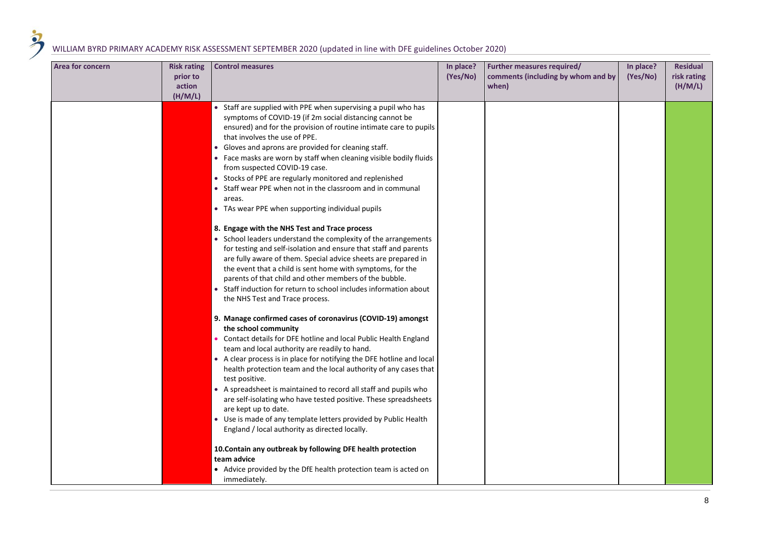| <b>Area for concern</b> | <b>Risk rating</b><br>prior to<br>action<br>(H/M/L) | <b>Control measures</b>                                                                                                                                                                                                                                                                                                                                                                                                                                                                                                                                                                                                                                                                                                                                                                                                                                                                                                                                                         | In place?<br>(Yes/No) | Further measures required/<br>comments (including by whom and by<br>when) | In place?<br>(Yes/No) | <b>Residual</b><br>risk rating<br>(H/M/L) |
|-------------------------|-----------------------------------------------------|---------------------------------------------------------------------------------------------------------------------------------------------------------------------------------------------------------------------------------------------------------------------------------------------------------------------------------------------------------------------------------------------------------------------------------------------------------------------------------------------------------------------------------------------------------------------------------------------------------------------------------------------------------------------------------------------------------------------------------------------------------------------------------------------------------------------------------------------------------------------------------------------------------------------------------------------------------------------------------|-----------------------|---------------------------------------------------------------------------|-----------------------|-------------------------------------------|
|                         |                                                     | • Staff are supplied with PPE when supervising a pupil who has<br>symptoms of COVID-19 (if 2m social distancing cannot be<br>ensured) and for the provision of routine intimate care to pupils<br>that involves the use of PPE.<br>• Gloves and aprons are provided for cleaning staff.<br>• Face masks are worn by staff when cleaning visible bodily fluids<br>from suspected COVID-19 case.<br>Stocks of PPE are regularly monitored and replenished<br>$\bullet$<br>Staff wear PPE when not in the classroom and in communal<br>areas.<br>• TAs wear PPE when supporting individual pupils<br>8. Engage with the NHS Test and Trace process<br>• School leaders understand the complexity of the arrangements<br>for testing and self-isolation and ensure that staff and parents<br>are fully aware of them. Special advice sheets are prepared in<br>the event that a child is sent home with symptoms, for the<br>parents of that child and other members of the bubble. |                       |                                                                           |                       |                                           |
|                         |                                                     | • Staff induction for return to school includes information about<br>the NHS Test and Trace process.<br>9. Manage confirmed cases of coronavirus (COVID-19) amongst<br>the school community<br>Contact details for DFE hotline and local Public Health England<br>team and local authority are readily to hand.<br>• A clear process is in place for notifying the DFE hotline and local<br>health protection team and the local authority of any cases that<br>test positive.<br>• A spreadsheet is maintained to record all staff and pupils who<br>are self-isolating who have tested positive. These spreadsheets<br>are kept up to date.<br>• Use is made of any template letters provided by Public Health<br>England / local authority as directed locally.<br>10. Contain any outbreak by following DFE health protection                                                                                                                                               |                       |                                                                           |                       |                                           |
|                         |                                                     | team advice<br>• Advice provided by the DfE health protection team is acted on<br>immediately.                                                                                                                                                                                                                                                                                                                                                                                                                                                                                                                                                                                                                                                                                                                                                                                                                                                                                  |                       |                                                                           |                       |                                           |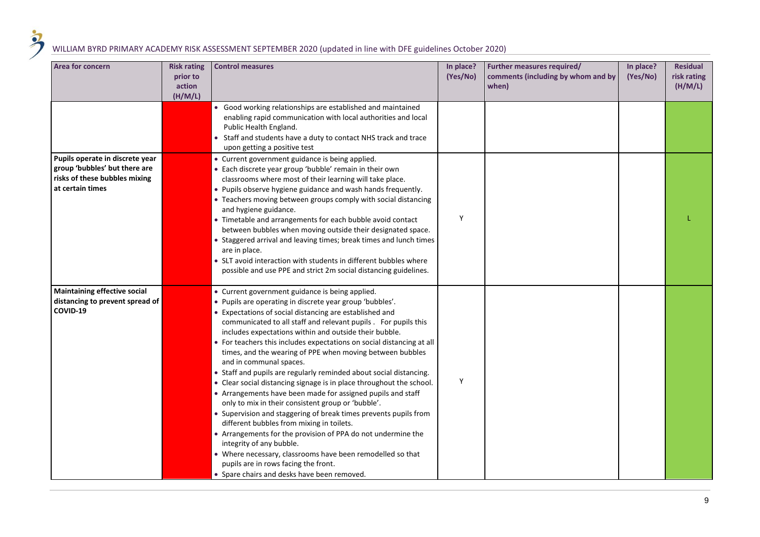$\dot{z}$ 

| Area for concern                                                                                                      | <b>Risk rating</b><br>prior to<br>action<br>(H/M/L) | <b>Control measures</b>                                                                                                                                                                                                                                                                                                                                                                                                                                                                                                                                                                                                                                                                                                                                                                                                                                                                                                                                                                                                                                                                                   | In place?<br>(Yes/No) | Further measures required/<br>comments (including by whom and by<br>when) | In place?<br>(Yes/No) | <b>Residual</b><br>risk rating<br>(H/M/L) |
|-----------------------------------------------------------------------------------------------------------------------|-----------------------------------------------------|-----------------------------------------------------------------------------------------------------------------------------------------------------------------------------------------------------------------------------------------------------------------------------------------------------------------------------------------------------------------------------------------------------------------------------------------------------------------------------------------------------------------------------------------------------------------------------------------------------------------------------------------------------------------------------------------------------------------------------------------------------------------------------------------------------------------------------------------------------------------------------------------------------------------------------------------------------------------------------------------------------------------------------------------------------------------------------------------------------------|-----------------------|---------------------------------------------------------------------------|-----------------------|-------------------------------------------|
|                                                                                                                       |                                                     | • Good working relationships are established and maintained<br>enabling rapid communication with local authorities and local<br>Public Health England.<br>• Staff and students have a duty to contact NHS track and trace<br>upon getting a positive test                                                                                                                                                                                                                                                                                                                                                                                                                                                                                                                                                                                                                                                                                                                                                                                                                                                 |                       |                                                                           |                       |                                           |
| Pupils operate in discrete year<br>group 'bubbles' but there are<br>risks of these bubbles mixing<br>at certain times |                                                     | • Current government guidance is being applied.<br>• Each discrete year group 'bubble' remain in their own<br>classrooms where most of their learning will take place.<br>• Pupils observe hygiene guidance and wash hands frequently.<br>• Teachers moving between groups comply with social distancing<br>and hygiene guidance.<br>• Timetable and arrangements for each bubble avoid contact<br>between bubbles when moving outside their designated space.<br>• Staggered arrival and leaving times; break times and lunch times<br>are in place.<br>• SLT avoid interaction with students in different bubbles where<br>possible and use PPE and strict 2m social distancing guidelines.                                                                                                                                                                                                                                                                                                                                                                                                             | Y                     |                                                                           |                       |                                           |
| <b>Maintaining effective social</b><br>distancing to prevent spread of<br>COVID-19                                    |                                                     | • Current government guidance is being applied.<br>• Pupils are operating in discrete year group 'bubbles'.<br>• Expectations of social distancing are established and<br>communicated to all staff and relevant pupils . For pupils this<br>includes expectations within and outside their bubble.<br>• For teachers this includes expectations on social distancing at all<br>times, and the wearing of PPE when moving between bubbles<br>and in communal spaces.<br>• Staff and pupils are regularly reminded about social distancing.<br>• Clear social distancing signage is in place throughout the school.<br>• Arrangements have been made for assigned pupils and staff<br>only to mix in their consistent group or 'bubble'.<br>• Supervision and staggering of break times prevents pupils from<br>different bubbles from mixing in toilets.<br>• Arrangements for the provision of PPA do not undermine the<br>integrity of any bubble.<br>• Where necessary, classrooms have been remodelled so that<br>pupils are in rows facing the front.<br>• Spare chairs and desks have been removed. | Υ                     |                                                                           |                       |                                           |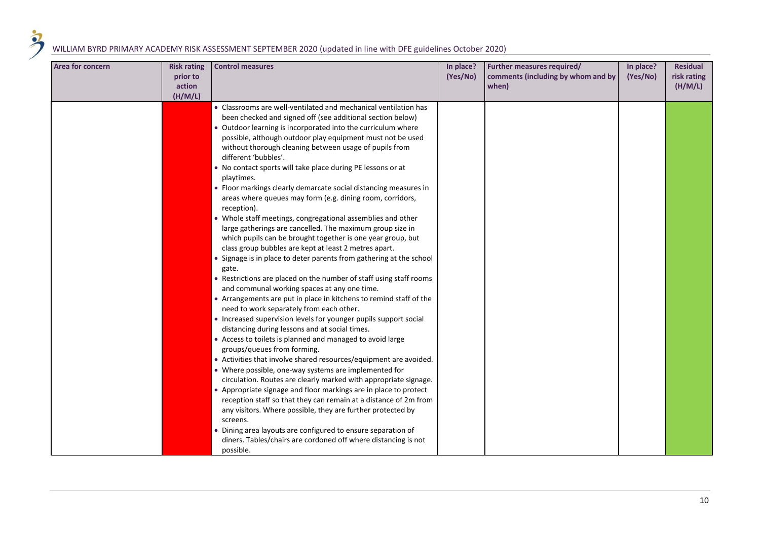| Area for concern | <b>Risk rating</b><br>prior to<br>action<br>(H/M/L) | <b>Control measures</b>                                                                                                                                                                                                                                                                                                                                                                                                                                                                                                                                                                                                                                                                                                                                                                                                                                                                                                                                                                                                                                                                                                                                                                                                                                                                                                                                                                                                                                                                                                                                                                                                                                                                                                                                                                                                                                                                                                                      | In place?<br>(Yes/No) | Further measures required/<br>comments (including by whom and by<br>when) | In place?<br>(Yes/No) | <b>Residual</b><br>risk rating<br>(H/M/L) |
|------------------|-----------------------------------------------------|----------------------------------------------------------------------------------------------------------------------------------------------------------------------------------------------------------------------------------------------------------------------------------------------------------------------------------------------------------------------------------------------------------------------------------------------------------------------------------------------------------------------------------------------------------------------------------------------------------------------------------------------------------------------------------------------------------------------------------------------------------------------------------------------------------------------------------------------------------------------------------------------------------------------------------------------------------------------------------------------------------------------------------------------------------------------------------------------------------------------------------------------------------------------------------------------------------------------------------------------------------------------------------------------------------------------------------------------------------------------------------------------------------------------------------------------------------------------------------------------------------------------------------------------------------------------------------------------------------------------------------------------------------------------------------------------------------------------------------------------------------------------------------------------------------------------------------------------------------------------------------------------------------------------------------------------|-----------------------|---------------------------------------------------------------------------|-----------------------|-------------------------------------------|
|                  |                                                     | • Classrooms are well-ventilated and mechanical ventilation has<br>been checked and signed off (see additional section below)<br>• Outdoor learning is incorporated into the curriculum where<br>possible, although outdoor play equipment must not be used<br>without thorough cleaning between usage of pupils from<br>different 'bubbles'.<br>. No contact sports will take place during PE lessons or at<br>playtimes.<br>• Floor markings clearly demarcate social distancing measures in<br>areas where queues may form (e.g. dining room, corridors,<br>reception).<br>• Whole staff meetings, congregational assemblies and other<br>large gatherings are cancelled. The maximum group size in<br>which pupils can be brought together is one year group, but<br>class group bubbles are kept at least 2 metres apart.<br>• Signage is in place to deter parents from gathering at the school<br>gate.<br>• Restrictions are placed on the number of staff using staff rooms<br>and communal working spaces at any one time.<br>• Arrangements are put in place in kitchens to remind staff of the<br>need to work separately from each other.<br>• Increased supervision levels for younger pupils support social<br>distancing during lessons and at social times.<br>• Access to toilets is planned and managed to avoid large<br>groups/queues from forming.<br>• Activities that involve shared resources/equipment are avoided.<br>• Where possible, one-way systems are implemented for<br>circulation. Routes are clearly marked with appropriate signage.<br>• Appropriate signage and floor markings are in place to protect<br>reception staff so that they can remain at a distance of 2m from<br>any visitors. Where possible, they are further protected by<br>screens.<br>• Dining area layouts are configured to ensure separation of<br>diners. Tables/chairs are cordoned off where distancing is not<br>possible. |                       |                                                                           |                       |                                           |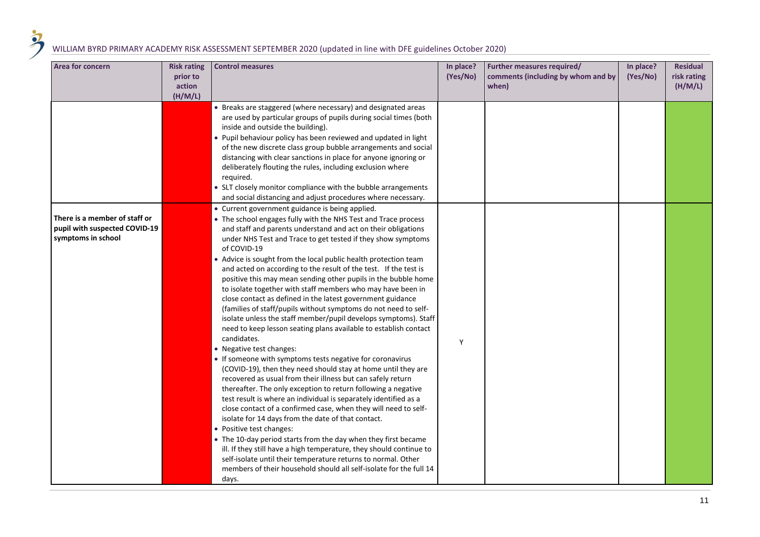| <b>Area for concern</b>                                                              | <b>Risk rating</b><br>prior to<br>action<br>(H/M/L) | <b>Control measures</b>                                                                                                                                                                                                                                                                                                                                                                                                                                                                                                                                                                                                                                                                                                                                                                                                                                                                                                                                                                                                                                                                                                                                                                                                                                                                                                                                                                                                                                                                                                                                                                                                                      | In place?<br>(Yes/No) | Further measures required/<br>comments (including by whom and by<br>when) | In place?<br>(Yes/No) | <b>Residual</b><br>risk rating<br>(H/M/L) |
|--------------------------------------------------------------------------------------|-----------------------------------------------------|----------------------------------------------------------------------------------------------------------------------------------------------------------------------------------------------------------------------------------------------------------------------------------------------------------------------------------------------------------------------------------------------------------------------------------------------------------------------------------------------------------------------------------------------------------------------------------------------------------------------------------------------------------------------------------------------------------------------------------------------------------------------------------------------------------------------------------------------------------------------------------------------------------------------------------------------------------------------------------------------------------------------------------------------------------------------------------------------------------------------------------------------------------------------------------------------------------------------------------------------------------------------------------------------------------------------------------------------------------------------------------------------------------------------------------------------------------------------------------------------------------------------------------------------------------------------------------------------------------------------------------------------|-----------------------|---------------------------------------------------------------------------|-----------------------|-------------------------------------------|
|                                                                                      |                                                     | • Breaks are staggered (where necessary) and designated areas<br>are used by particular groups of pupils during social times (both<br>inside and outside the building).<br>Pupil behaviour policy has been reviewed and updated in light<br>of the new discrete class group bubble arrangements and social<br>distancing with clear sanctions in place for anyone ignoring or<br>deliberately flouting the rules, including exclusion where<br>required.<br>• SLT closely monitor compliance with the bubble arrangements<br>and social distancing and adjust procedures where necessary.                                                                                                                                                                                                                                                                                                                                                                                                                                                                                                                                                                                                                                                                                                                                                                                                                                                                                                                                                                                                                                                    |                       |                                                                           |                       |                                           |
| There is a member of staff or<br>pupil with suspected COVID-19<br>symptoms in school |                                                     | • Current government guidance is being applied.<br>• The school engages fully with the NHS Test and Trace process<br>and staff and parents understand and act on their obligations<br>under NHS Test and Trace to get tested if they show symptoms<br>of COVID-19<br>• Advice is sought from the local public health protection team<br>and acted on according to the result of the test. If the test is<br>positive this may mean sending other pupils in the bubble home<br>to isolate together with staff members who may have been in<br>close contact as defined in the latest government guidance<br>(families of staff/pupils without symptoms do not need to self-<br>isolate unless the staff member/pupil develops symptoms). Staff<br>need to keep lesson seating plans available to establish contact<br>candidates.<br>• Negative test changes:<br>• If someone with symptoms tests negative for coronavirus<br>(COVID-19), then they need should stay at home until they are<br>recovered as usual from their illness but can safely return<br>thereafter. The only exception to return following a negative<br>test result is where an individual is separately identified as a<br>close contact of a confirmed case, when they will need to self-<br>isolate for 14 days from the date of that contact.<br>• Positive test changes:<br>• The 10-day period starts from the day when they first became<br>ill. If they still have a high temperature, they should continue to<br>self-isolate until their temperature returns to normal. Other<br>members of their household should all self-isolate for the full 14<br>days. | Y                     |                                                                           |                       |                                           |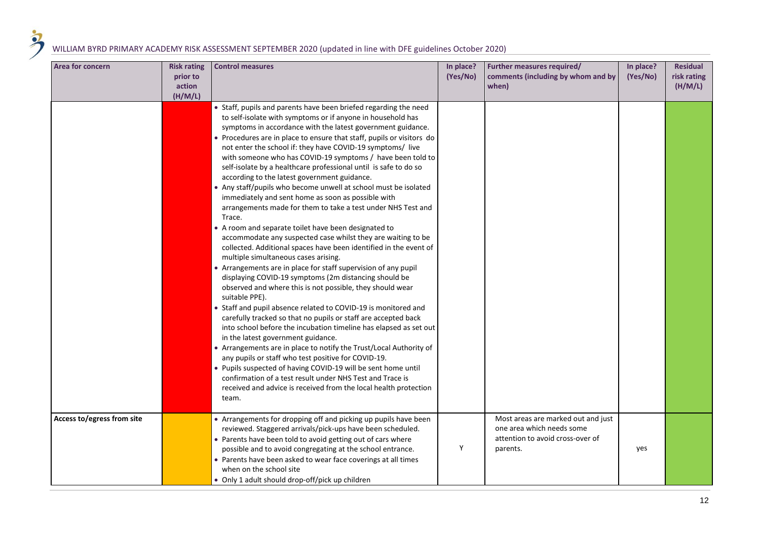| <b>Area for concern</b>    | <b>Risk rating</b><br>prior to<br>action<br>(H/M/L) | <b>Control measures</b>                                                                                                                                                                                                                                                                                                                                                                                                                                                                                                                                                                                                                                                                                                                                                                                                                                                                                                                                                                                                                                                                                                                                                                                                                                                                                                                                                                                                                                                                                                                                                                                                                                                                                                                                          | In place?<br>(Yes/No) | Further measures required/<br>comments (including by whom and by<br>when)                                       | In place?<br>(Yes/No) | <b>Residual</b><br>risk rating<br>(H/M/L) |
|----------------------------|-----------------------------------------------------|------------------------------------------------------------------------------------------------------------------------------------------------------------------------------------------------------------------------------------------------------------------------------------------------------------------------------------------------------------------------------------------------------------------------------------------------------------------------------------------------------------------------------------------------------------------------------------------------------------------------------------------------------------------------------------------------------------------------------------------------------------------------------------------------------------------------------------------------------------------------------------------------------------------------------------------------------------------------------------------------------------------------------------------------------------------------------------------------------------------------------------------------------------------------------------------------------------------------------------------------------------------------------------------------------------------------------------------------------------------------------------------------------------------------------------------------------------------------------------------------------------------------------------------------------------------------------------------------------------------------------------------------------------------------------------------------------------------------------------------------------------------|-----------------------|-----------------------------------------------------------------------------------------------------------------|-----------------------|-------------------------------------------|
|                            |                                                     | • Staff, pupils and parents have been briefed regarding the need<br>to self-isolate with symptoms or if anyone in household has<br>symptoms in accordance with the latest government guidance.<br>• Procedures are in place to ensure that staff, pupils or visitors do<br>not enter the school if: they have COVID-19 symptoms/ live<br>with someone who has COVID-19 symptoms / have been told to<br>self-isolate by a healthcare professional until is safe to do so<br>according to the latest government guidance.<br>• Any staff/pupils who become unwell at school must be isolated<br>immediately and sent home as soon as possible with<br>arrangements made for them to take a test under NHS Test and<br>Trace.<br>• A room and separate toilet have been designated to<br>accommodate any suspected case whilst they are waiting to be<br>collected. Additional spaces have been identified in the event of<br>multiple simultaneous cases arising.<br>• Arrangements are in place for staff supervision of any pupil<br>displaying COVID-19 symptoms (2m distancing should be<br>observed and where this is not possible, they should wear<br>suitable PPE).<br>• Staff and pupil absence related to COVID-19 is monitored and<br>carefully tracked so that no pupils or staff are accepted back<br>into school before the incubation timeline has elapsed as set out<br>in the latest government guidance.<br>• Arrangements are in place to notify the Trust/Local Authority of<br>any pupils or staff who test positive for COVID-19.<br>• Pupils suspected of having COVID-19 will be sent home until<br>confirmation of a test result under NHS Test and Trace is<br>received and advice is received from the local health protection<br>team. |                       |                                                                                                                 |                       |                                           |
| Access to/egress from site |                                                     | • Arrangements for dropping off and picking up pupils have been<br>reviewed. Staggered arrivals/pick-ups have been scheduled.<br>• Parents have been told to avoid getting out of cars where<br>possible and to avoid congregating at the school entrance.<br>• Parents have been asked to wear face coverings at all times<br>when on the school site<br>• Only 1 adult should drop-off/pick up children                                                                                                                                                                                                                                                                                                                                                                                                                                                                                                                                                                                                                                                                                                                                                                                                                                                                                                                                                                                                                                                                                                                                                                                                                                                                                                                                                        | Y                     | Most areas are marked out and just<br>one area which needs some<br>attention to avoid cross-over of<br>parents. | yes                   |                                           |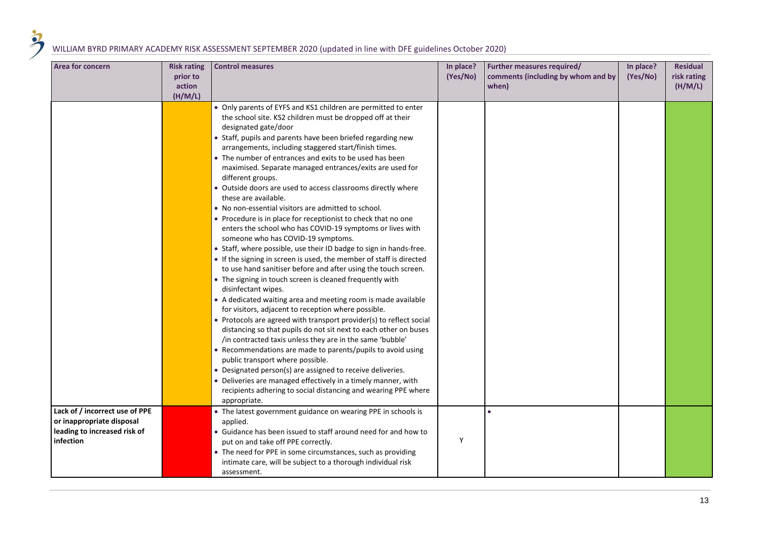| <b>Area for concern</b>                                                                                  | <b>Risk rating</b><br>prior to<br>action<br>(H/M/L) | <b>Control measures</b>                                                                                                                                                                                                                                                                                                                                                                                                                                                                                                                                                                                                                                                                                                                                                                                                                                                                                                                                                                                                                                                                                                                                                                                                                                                                                                                                                                                                                                                                                                                                                                                                                                                                           | In place?<br>(Yes/No) | Further measures required/<br>comments (including by whom and by<br>when) | In place?<br>(Yes/No) | <b>Residual</b><br>risk rating<br>(H/M/L) |
|----------------------------------------------------------------------------------------------------------|-----------------------------------------------------|---------------------------------------------------------------------------------------------------------------------------------------------------------------------------------------------------------------------------------------------------------------------------------------------------------------------------------------------------------------------------------------------------------------------------------------------------------------------------------------------------------------------------------------------------------------------------------------------------------------------------------------------------------------------------------------------------------------------------------------------------------------------------------------------------------------------------------------------------------------------------------------------------------------------------------------------------------------------------------------------------------------------------------------------------------------------------------------------------------------------------------------------------------------------------------------------------------------------------------------------------------------------------------------------------------------------------------------------------------------------------------------------------------------------------------------------------------------------------------------------------------------------------------------------------------------------------------------------------------------------------------------------------------------------------------------------------|-----------------------|---------------------------------------------------------------------------|-----------------------|-------------------------------------------|
|                                                                                                          |                                                     | • Only parents of EYFS and KS1 children are permitted to enter<br>the school site. KS2 children must be dropped off at their<br>designated gate/door<br>• Staff, pupils and parents have been briefed regarding new<br>arrangements, including staggered start/finish times.<br>• The number of entrances and exits to be used has been<br>maximised. Separate managed entrances/exits are used for<br>different groups.<br>• Outside doors are used to access classrooms directly where<br>these are available.<br>• No non-essential visitors are admitted to school.<br>• Procedure is in place for receptionist to check that no one<br>enters the school who has COVID-19 symptoms or lives with<br>someone who has COVID-19 symptoms.<br>• Staff, where possible, use their ID badge to sign in hands-free.<br>• If the signing in screen is used, the member of staff is directed<br>to use hand sanitiser before and after using the touch screen.<br>• The signing in touch screen is cleaned frequently with<br>disinfectant wipes.<br>• A dedicated waiting area and meeting room is made available<br>for visitors, adjacent to reception where possible.<br>• Protocols are agreed with transport provider(s) to reflect social<br>distancing so that pupils do not sit next to each other on buses<br>/in contracted taxis unless they are in the same 'bubble'<br>• Recommendations are made to parents/pupils to avoid using<br>public transport where possible.<br>• Designated person(s) are assigned to receive deliveries.<br>• Deliveries are managed effectively in a timely manner, with<br>recipients adhering to social distancing and wearing PPE where<br>appropriate. |                       |                                                                           |                       |                                           |
| Lack of / incorrect use of PPE<br>or inappropriate disposal<br>leading to increased risk of<br>infection |                                                     | • The latest government guidance on wearing PPE in schools is<br>applied.<br>• Guidance has been issued to staff around need for and how to<br>put on and take off PPE correctly.<br>• The need for PPE in some circumstances, such as providing<br>intimate care, will be subject to a thorough individual risk<br>assessment.                                                                                                                                                                                                                                                                                                                                                                                                                                                                                                                                                                                                                                                                                                                                                                                                                                                                                                                                                                                                                                                                                                                                                                                                                                                                                                                                                                   | Y                     |                                                                           |                       |                                           |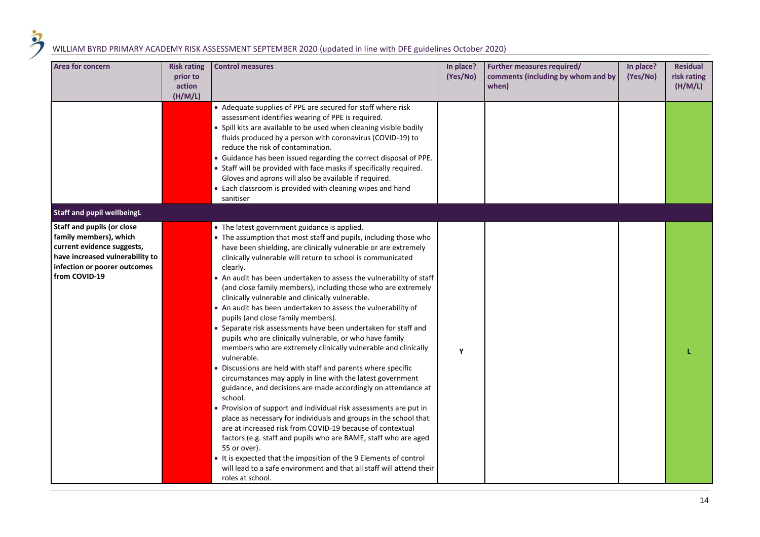| <b>Area for concern</b>                                                                                                                                                                                            | <b>Risk rating</b><br>prior to<br>action<br>(H/M/L) | <b>Control measures</b>                                                                                                                                                                                                                                                                                                                                                                                                                                                                                                                                                                                                                                                                                                                                                                                                                                                                                                                                                                                                                                                                                                                                                                                                                                                                                                                                                                                                                              | In place?<br>(Yes/No) | Further measures required/<br>comments (including by whom and by<br>when) | In place?<br>(Yes/No) | <b>Residual</b><br>risk rating<br>(H/M/L) |
|--------------------------------------------------------------------------------------------------------------------------------------------------------------------------------------------------------------------|-----------------------------------------------------|------------------------------------------------------------------------------------------------------------------------------------------------------------------------------------------------------------------------------------------------------------------------------------------------------------------------------------------------------------------------------------------------------------------------------------------------------------------------------------------------------------------------------------------------------------------------------------------------------------------------------------------------------------------------------------------------------------------------------------------------------------------------------------------------------------------------------------------------------------------------------------------------------------------------------------------------------------------------------------------------------------------------------------------------------------------------------------------------------------------------------------------------------------------------------------------------------------------------------------------------------------------------------------------------------------------------------------------------------------------------------------------------------------------------------------------------------|-----------------------|---------------------------------------------------------------------------|-----------------------|-------------------------------------------|
|                                                                                                                                                                                                                    |                                                     | • Adequate supplies of PPE are secured for staff where risk<br>assessment identifies wearing of PPE is required.<br>• Spill kits are available to be used when cleaning visible bodily<br>fluids produced by a person with coronavirus (COVID-19) to<br>reduce the risk of contamination.<br>• Guidance has been issued regarding the correct disposal of PPE.<br>• Staff will be provided with face masks if specifically required.<br>Gloves and aprons will also be available if required.<br>• Each classroom is provided with cleaning wipes and hand<br>sanitiser                                                                                                                                                                                                                                                                                                                                                                                                                                                                                                                                                                                                                                                                                                                                                                                                                                                                              |                       |                                                                           |                       |                                           |
| <b>Staff and pupil wellbeingL</b><br><b>Staff and pupils (or close</b><br>family members), which<br>current evidence suggests,<br>have increased vulnerability to<br>infection or poorer outcomes<br>from COVID-19 |                                                     | • The latest government guidance is applied.<br>• The assumption that most staff and pupils, including those who<br>have been shielding, are clinically vulnerable or are extremely<br>clinically vulnerable will return to school is communicated<br>clearly.<br>• An audit has been undertaken to assess the vulnerability of staff<br>(and close family members), including those who are extremely<br>clinically vulnerable and clinically vulnerable.<br>• An audit has been undertaken to assess the vulnerability of<br>pupils (and close family members).<br>• Separate risk assessments have been undertaken for staff and<br>pupils who are clinically vulnerable, or who have family<br>members who are extremely clinically vulnerable and clinically<br>vulnerable.<br>• Discussions are held with staff and parents where specific<br>circumstances may apply in line with the latest government<br>guidance, and decisions are made accordingly on attendance at<br>school.<br>• Provision of support and individual risk assessments are put in<br>place as necessary for individuals and groups in the school that<br>are at increased risk from COVID-19 because of contextual<br>factors (e.g. staff and pupils who are BAME, staff who are aged<br>55 or over).<br>• It is expected that the imposition of the 9 Elements of control<br>will lead to a safe environment and that all staff will attend their<br>roles at school. | Y                     |                                                                           |                       |                                           |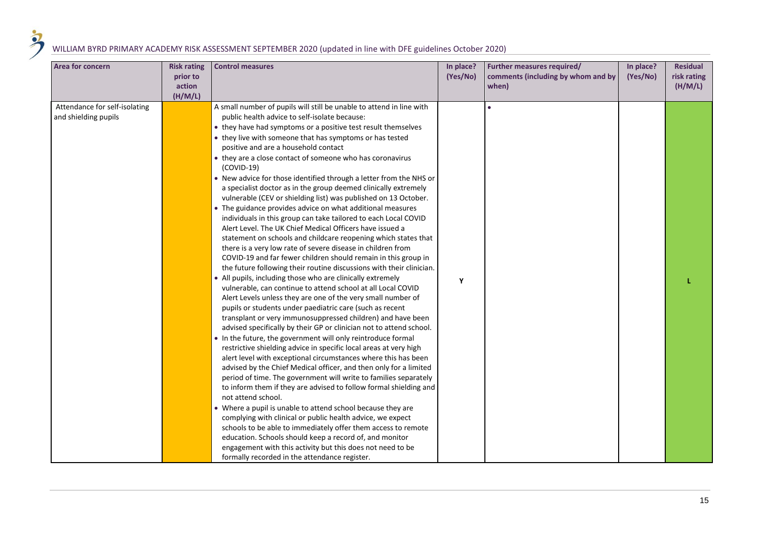| Area for concern                                      | <b>Risk rating</b><br>prior to<br>action<br>(H/M/L) | <b>Control measures</b>                                                                                                                                                                                                                                                                                                                                                                                                                                                                                                                                                                                                                                                                                                                                                                                                                                                                                                                                                                                                                                                                                                                                                                                                                                                                                                                                                                                                                                                                                                                                                                                                                                                                                                                                                                                                                                                                                                                                                                                                                                                                                                                                                                                                                                                        | In place?<br>(Yes/No) | Further measures required/<br>comments (including by whom and by<br>when) | In place?<br>(Yes/No) | <b>Residual</b><br>risk rating<br>(H/M/L) |
|-------------------------------------------------------|-----------------------------------------------------|--------------------------------------------------------------------------------------------------------------------------------------------------------------------------------------------------------------------------------------------------------------------------------------------------------------------------------------------------------------------------------------------------------------------------------------------------------------------------------------------------------------------------------------------------------------------------------------------------------------------------------------------------------------------------------------------------------------------------------------------------------------------------------------------------------------------------------------------------------------------------------------------------------------------------------------------------------------------------------------------------------------------------------------------------------------------------------------------------------------------------------------------------------------------------------------------------------------------------------------------------------------------------------------------------------------------------------------------------------------------------------------------------------------------------------------------------------------------------------------------------------------------------------------------------------------------------------------------------------------------------------------------------------------------------------------------------------------------------------------------------------------------------------------------------------------------------------------------------------------------------------------------------------------------------------------------------------------------------------------------------------------------------------------------------------------------------------------------------------------------------------------------------------------------------------------------------------------------------------------------------------------------------------|-----------------------|---------------------------------------------------------------------------|-----------------------|-------------------------------------------|
| Attendance for self-isolating<br>and shielding pupils |                                                     | A small number of pupils will still be unable to attend in line with<br>public health advice to self-isolate because:<br>• they have had symptoms or a positive test result themselves<br>• they live with someone that has symptoms or has tested<br>positive and are a household contact<br>• they are a close contact of someone who has coronavirus<br>$(COVID-19)$<br>. New advice for those identified through a letter from the NHS or<br>a specialist doctor as in the group deemed clinically extremely<br>vulnerable (CEV or shielding list) was published on 13 October.<br>• The guidance provides advice on what additional measures<br>individuals in this group can take tailored to each Local COVID<br>Alert Level. The UK Chief Medical Officers have issued a<br>statement on schools and childcare reopening which states that<br>there is a very low rate of severe disease in children from<br>COVID-19 and far fewer children should remain in this group in<br>the future following their routine discussions with their clinician.<br>• All pupils, including those who are clinically extremely<br>vulnerable, can continue to attend school at all Local COVID<br>Alert Levels unless they are one of the very small number of<br>pupils or students under paediatric care (such as recent<br>transplant or very immunosuppressed children) and have been<br>advised specifically by their GP or clinician not to attend school.<br>• In the future, the government will only reintroduce formal<br>restrictive shielding advice in specific local areas at very high<br>alert level with exceptional circumstances where this has been<br>advised by the Chief Medical officer, and then only for a limited<br>period of time. The government will write to families separately<br>to inform them if they are advised to follow formal shielding and<br>not attend school.<br>• Where a pupil is unable to attend school because they are<br>complying with clinical or public health advice, we expect<br>schools to be able to immediately offer them access to remote<br>education. Schools should keep a record of, and monitor<br>engagement with this activity but this does not need to be<br>formally recorded in the attendance register. | Y                     |                                                                           |                       |                                           |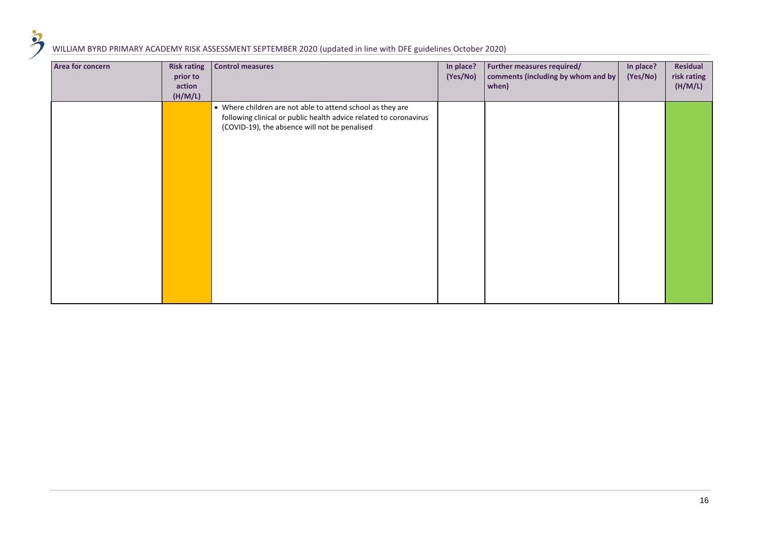| • Where children are not able to attend school as they are<br>following clinical or public health advice related to coronavirus<br>(COVID-19), the absence will not be penalised | Area for concern | <b>Risk rating</b><br>prior to<br>action<br>(H/M/L) | <b>Control measures</b> | In place?<br>(Yes/No) | Further measures required/<br>comments (including by whom and by<br>when) | In place?<br>(Yes/No) | <b>Residual</b><br>risk rating<br>(H/M/L) |
|----------------------------------------------------------------------------------------------------------------------------------------------------------------------------------|------------------|-----------------------------------------------------|-------------------------|-----------------------|---------------------------------------------------------------------------|-----------------------|-------------------------------------------|
|                                                                                                                                                                                  |                  |                                                     |                         |                       |                                                                           |                       |                                           |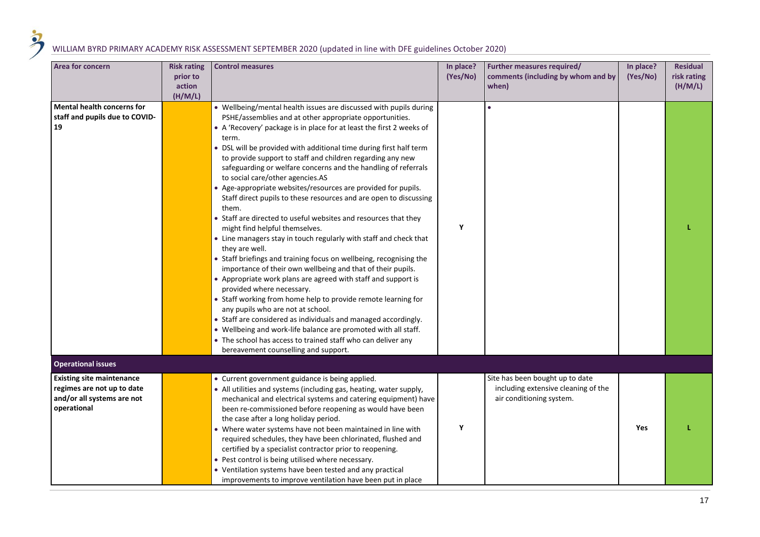| Area for concern                                                                                            | <b>Risk rating</b><br>prior to<br>action<br>(H/M/L) | <b>Control measures</b>                                                                                                                                                                                                                                                                                                                                                                                                                                                                                                                                                                                                                                                                                                                                                                                                                                                                                                                                                                                                                                                                                                                                                                                                                                                                                                                                                                 | In place?<br>(Yes/No) | Further measures required/<br>comments (including by whom and by<br>when)                          | In place?<br>(Yes/No) | <b>Residual</b><br>risk rating<br>(H/M/L) |
|-------------------------------------------------------------------------------------------------------------|-----------------------------------------------------|-----------------------------------------------------------------------------------------------------------------------------------------------------------------------------------------------------------------------------------------------------------------------------------------------------------------------------------------------------------------------------------------------------------------------------------------------------------------------------------------------------------------------------------------------------------------------------------------------------------------------------------------------------------------------------------------------------------------------------------------------------------------------------------------------------------------------------------------------------------------------------------------------------------------------------------------------------------------------------------------------------------------------------------------------------------------------------------------------------------------------------------------------------------------------------------------------------------------------------------------------------------------------------------------------------------------------------------------------------------------------------------------|-----------------------|----------------------------------------------------------------------------------------------------|-----------------------|-------------------------------------------|
| <b>Mental health concerns for</b><br>staff and pupils due to COVID-<br>19                                   |                                                     | • Wellbeing/mental health issues are discussed with pupils during<br>PSHE/assemblies and at other appropriate opportunities.<br>• A 'Recovery' package is in place for at least the first 2 weeks of<br>term.<br>• DSL will be provided with additional time during first half term<br>to provide support to staff and children regarding any new<br>safeguarding or welfare concerns and the handling of referrals<br>to social care/other agencies.AS<br>• Age-appropriate websites/resources are provided for pupils.<br>Staff direct pupils to these resources and are open to discussing<br>them.<br>• Staff are directed to useful websites and resources that they<br>might find helpful themselves.<br>• Line managers stay in touch regularly with staff and check that<br>they are well.<br>• Staff briefings and training focus on wellbeing, recognising the<br>importance of their own wellbeing and that of their pupils.<br>• Appropriate work plans are agreed with staff and support is<br>provided where necessary.<br>• Staff working from home help to provide remote learning for<br>any pupils who are not at school.<br>• Staff are considered as individuals and managed accordingly.<br>• Wellbeing and work-life balance are promoted with all staff.<br>• The school has access to trained staff who can deliver any<br>bereavement counselling and support. | Υ                     | $\bullet$                                                                                          |                       |                                           |
| <b>Operational issues</b>                                                                                   |                                                     |                                                                                                                                                                                                                                                                                                                                                                                                                                                                                                                                                                                                                                                                                                                                                                                                                                                                                                                                                                                                                                                                                                                                                                                                                                                                                                                                                                                         |                       |                                                                                                    |                       |                                           |
| <b>Existing site maintenance</b><br>regimes are not up to date<br>and/or all systems are not<br>operational |                                                     | • Current government guidance is being applied.<br>• All utilities and systems (including gas, heating, water supply,<br>mechanical and electrical systems and catering equipment) have<br>been re-commissioned before reopening as would have been<br>the case after a long holiday period.<br>• Where water systems have not been maintained in line with<br>required schedules, they have been chlorinated, flushed and<br>certified by a specialist contractor prior to reopening.<br>• Pest control is being utilised where necessary.<br>• Ventilation systems have been tested and any practical<br>improvements to improve ventilation have been put in place                                                                                                                                                                                                                                                                                                                                                                                                                                                                                                                                                                                                                                                                                                                   | Υ                     | Site has been bought up to date<br>including extensive cleaning of the<br>air conditioning system. | Yes                   |                                           |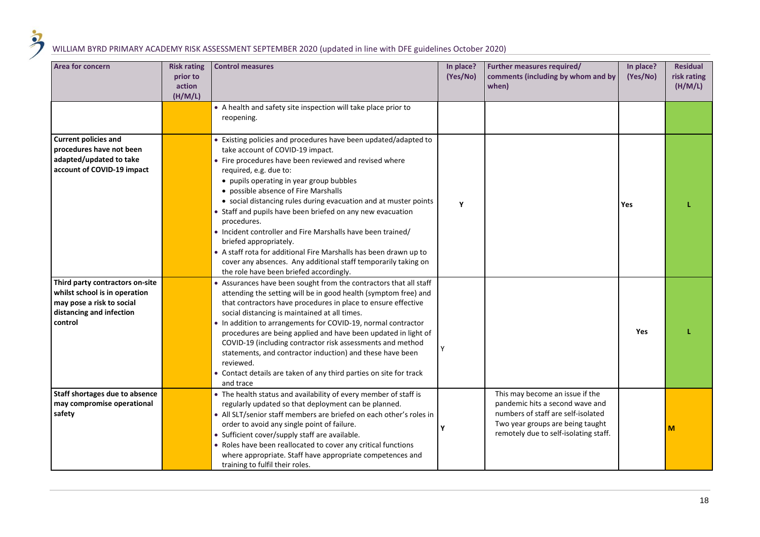$\ddot{\mathbf{z}}$ 

| <b>Area for concern</b>                                                                                                              | <b>Risk rating</b><br>prior to<br>action<br>(H/M/L) | <b>Control measures</b>                                                                                                                                                                                                                                                                                                                                                                                                                                                                                                                                                                                                                                                                                 | In place?<br>(Yes/No) | Further measures required/<br>comments (including by whom and by<br>when)                                                                                                             | In place?<br>(Yes/No) | <b>Residual</b><br>risk rating<br>(H/M/L) |
|--------------------------------------------------------------------------------------------------------------------------------------|-----------------------------------------------------|---------------------------------------------------------------------------------------------------------------------------------------------------------------------------------------------------------------------------------------------------------------------------------------------------------------------------------------------------------------------------------------------------------------------------------------------------------------------------------------------------------------------------------------------------------------------------------------------------------------------------------------------------------------------------------------------------------|-----------------------|---------------------------------------------------------------------------------------------------------------------------------------------------------------------------------------|-----------------------|-------------------------------------------|
|                                                                                                                                      |                                                     | • A health and safety site inspection will take place prior to<br>reopening.                                                                                                                                                                                                                                                                                                                                                                                                                                                                                                                                                                                                                            |                       |                                                                                                                                                                                       |                       |                                           |
| <b>Current policies and</b><br>procedures have not been<br>adapted/updated to take<br>account of COVID-19 impact                     |                                                     | • Existing policies and procedures have been updated/adapted to<br>take account of COVID-19 impact.<br>• Fire procedures have been reviewed and revised where<br>required, e.g. due to:<br>• pupils operating in year group bubbles<br>• possible absence of Fire Marshalls<br>• social distancing rules during evacuation and at muster points<br>• Staff and pupils have been briefed on any new evacuation<br>procedures.<br>• Incident controller and Fire Marshalls have been trained/<br>briefed appropriately.<br>• A staff rota for additional Fire Marshalls has been drawn up to<br>cover any absences. Any additional staff temporarily taking on<br>the role have been briefed accordingly. | Y                     |                                                                                                                                                                                       | <b>Yes</b>            |                                           |
| Third party contractors on-site<br>whilst school is in operation<br>may pose a risk to social<br>distancing and infection<br>control |                                                     | • Assurances have been sought from the contractors that all staff<br>attending the setting will be in good health (symptom free) and<br>that contractors have procedures in place to ensure effective<br>social distancing is maintained at all times.<br>• In addition to arrangements for COVID-19, normal contractor<br>procedures are being applied and have been updated in light of<br>COVID-19 (including contractor risk assessments and method<br>statements, and contractor induction) and these have been<br>reviewed.<br>• Contact details are taken of any third parties on site for track<br>and trace                                                                                    |                       |                                                                                                                                                                                       | Yes                   |                                           |
| Staff shortages due to absence<br>may compromise operational<br>safety                                                               |                                                     | • The health status and availability of every member of staff is<br>regularly updated so that deployment can be planned.<br>• All SLT/senior staff members are briefed on each other's roles in<br>order to avoid any single point of failure.<br>• Sufficient cover/supply staff are available.<br>• Roles have been reallocated to cover any critical functions<br>where appropriate. Staff have appropriate competences and<br>training to fulfil their roles.                                                                                                                                                                                                                                       | Υ                     | This may become an issue if the<br>pandemic hits a second wave and<br>numbers of staff are self-isolated<br>Two year groups are being taught<br>remotely due to self-isolating staff. |                       | M                                         |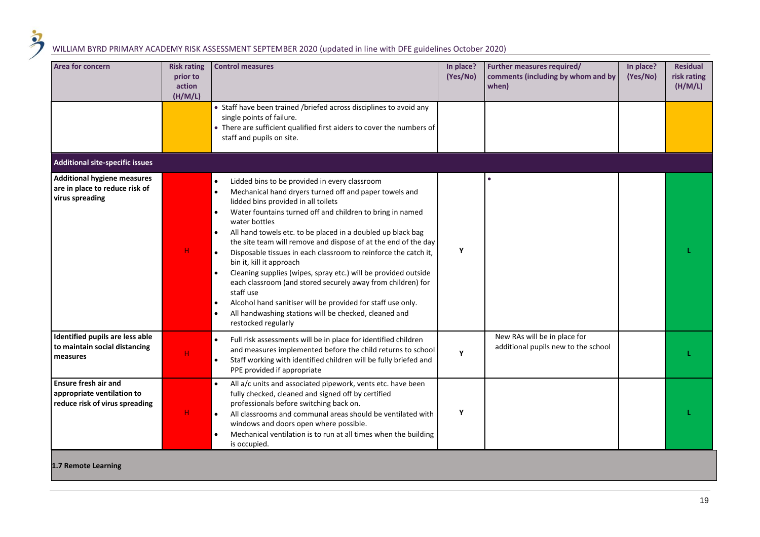| <b>Area for concern</b>                                                                     | <b>Risk rating</b><br>prior to<br>action<br>(H/M/L) | <b>Control measures</b>                                                                                                                                                                                                                                                                                                                                                                                                                                                                                                                                                                                                                                                                                                                                                                                       | In place?<br>(Yes/No) | Further measures required/<br>comments (including by whom and by<br>when) | In place?<br>(Yes/No) | <b>Residual</b><br>risk rating<br>(H/M/L) |
|---------------------------------------------------------------------------------------------|-----------------------------------------------------|---------------------------------------------------------------------------------------------------------------------------------------------------------------------------------------------------------------------------------------------------------------------------------------------------------------------------------------------------------------------------------------------------------------------------------------------------------------------------------------------------------------------------------------------------------------------------------------------------------------------------------------------------------------------------------------------------------------------------------------------------------------------------------------------------------------|-----------------------|---------------------------------------------------------------------------|-----------------------|-------------------------------------------|
|                                                                                             |                                                     | • Staff have been trained /briefed across disciplines to avoid any<br>single points of failure.<br>• There are sufficient qualified first aiders to cover the numbers of<br>staff and pupils on site.                                                                                                                                                                                                                                                                                                                                                                                                                                                                                                                                                                                                         |                       |                                                                           |                       |                                           |
| <b>Additional site-specific issues</b>                                                      |                                                     |                                                                                                                                                                                                                                                                                                                                                                                                                                                                                                                                                                                                                                                                                                                                                                                                               |                       |                                                                           |                       |                                           |
| <b>Additional hygiene measures</b><br>are in place to reduce risk of<br>virus spreading     | H                                                   | Lidded bins to be provided in every classroom<br>Mechanical hand dryers turned off and paper towels and<br>lidded bins provided in all toilets<br>Water fountains turned off and children to bring in named<br>$\bullet$<br>water bottles<br>All hand towels etc. to be placed in a doubled up black bag<br>$\bullet$<br>the site team will remove and dispose of at the end of the day<br>Disposable tissues in each classroom to reinforce the catch it,<br>$\bullet$<br>bin it, kill it approach<br>Cleaning supplies (wipes, spray etc.) will be provided outside<br>each classroom (and stored securely away from children) for<br>staff use<br>Alcohol hand sanitiser will be provided for staff use only.<br>$\bullet$<br>All handwashing stations will be checked, cleaned and<br>restocked regularly | Y                     |                                                                           |                       |                                           |
| Identified pupils are less able<br>to maintain social distancing<br>measures                | H.                                                  | Full risk assessments will be in place for identified children<br>and measures implemented before the child returns to school<br>Staff working with identified children will be fully briefed and<br>$\bullet$<br>PPE provided if appropriate                                                                                                                                                                                                                                                                                                                                                                                                                                                                                                                                                                 | Y                     | New RAs will be in place for<br>additional pupils new to the school       |                       |                                           |
| <b>Ensure fresh air and</b><br>appropriate ventilation to<br>reduce risk of virus spreading | н.                                                  | All a/c units and associated pipework, vents etc. have been<br>$\bullet$<br>fully checked, cleaned and signed off by certified<br>professionals before switching back on.<br>All classrooms and communal areas should be ventilated with<br>windows and doors open where possible.<br>Mechanical ventilation is to run at all times when the building<br>is occupied.                                                                                                                                                                                                                                                                                                                                                                                                                                         | Y                     |                                                                           |                       |                                           |

**1.7 Remote Learning**

 $\ddot{\mathbf{z}}$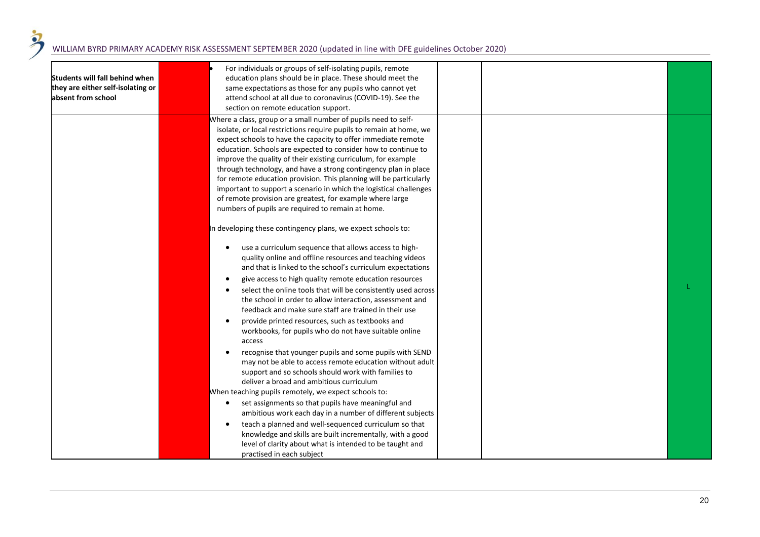| Students will fall behind when<br>they are either self-isolating or<br>absent from school | For individuals or groups of self-isolating pupils, remote<br>education plans should be in place. These should meet the<br>same expectations as those for any pupils who cannot yet<br>attend school at all due to coronavirus (COVID-19). See the<br>section on remote education support.                                                                                                                                                                                                                                                                                                                                                                                                                                                                                                                                     |  |  |
|-------------------------------------------------------------------------------------------|--------------------------------------------------------------------------------------------------------------------------------------------------------------------------------------------------------------------------------------------------------------------------------------------------------------------------------------------------------------------------------------------------------------------------------------------------------------------------------------------------------------------------------------------------------------------------------------------------------------------------------------------------------------------------------------------------------------------------------------------------------------------------------------------------------------------------------|--|--|
|                                                                                           | Where a class, group or a small number of pupils need to self-<br>isolate, or local restrictions require pupils to remain at home, we<br>expect schools to have the capacity to offer immediate remote<br>education. Schools are expected to consider how to continue to<br>improve the quality of their existing curriculum, for example<br>through technology, and have a strong contingency plan in place<br>for remote education provision. This planning will be particularly<br>important to support a scenario in which the logistical challenges<br>of remote provision are greatest, for example where large<br>numbers of pupils are required to remain at home.                                                                                                                                                     |  |  |
|                                                                                           | In developing these contingency plans, we expect schools to:<br>use a curriculum sequence that allows access to high-<br>quality online and offline resources and teaching videos<br>and that is linked to the school's curriculum expectations<br>give access to high quality remote education resources<br>select the online tools that will be consistently used across<br>the school in order to allow interaction, assessment and<br>feedback and make sure staff are trained in their use<br>provide printed resources, such as textbooks and<br>$\bullet$<br>workbooks, for pupils who do not have suitable online<br>access<br>recognise that younger pupils and some pupils with SEND<br>$\bullet$<br>may not be able to access remote education without adult<br>support and so schools should work with families to |  |  |
|                                                                                           | deliver a broad and ambitious curriculum<br>When teaching pupils remotely, we expect schools to:<br>set assignments so that pupils have meaningful and<br>$\bullet$<br>ambitious work each day in a number of different subjects<br>teach a planned and well-sequenced curriculum so that<br>knowledge and skills are built incrementally, with a good<br>level of clarity about what is intended to be taught and<br>practised in each subject                                                                                                                                                                                                                                                                                                                                                                                |  |  |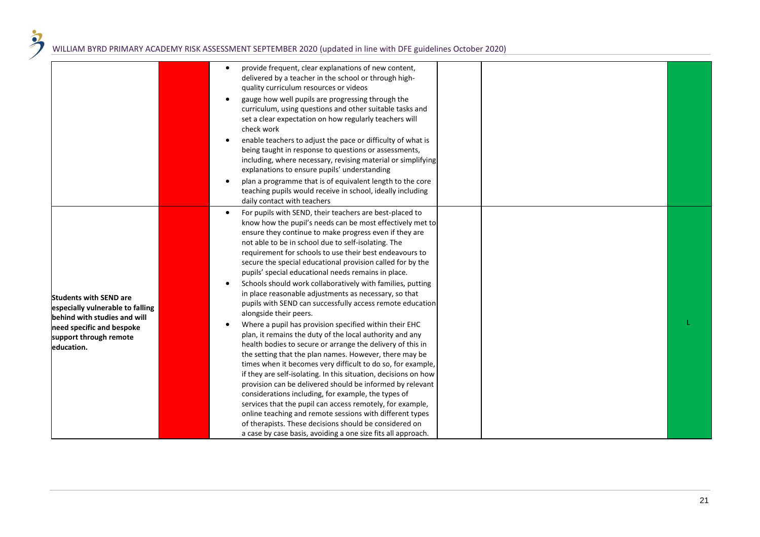|                                                                                                   | provide frequent, clear explanations of new content,<br>delivered by a teacher in the school or through high-<br>quality curriculum resources or videos                                                                                                                                                                                                                                                                            |  |
|---------------------------------------------------------------------------------------------------|------------------------------------------------------------------------------------------------------------------------------------------------------------------------------------------------------------------------------------------------------------------------------------------------------------------------------------------------------------------------------------------------------------------------------------|--|
|                                                                                                   | gauge how well pupils are progressing through the<br>curriculum, using questions and other suitable tasks and<br>set a clear expectation on how regularly teachers will<br>check work                                                                                                                                                                                                                                              |  |
|                                                                                                   | enable teachers to adjust the pace or difficulty of what is<br>being taught in response to questions or assessments,<br>including, where necessary, revising material or simplifying<br>explanations to ensure pupils' understanding                                                                                                                                                                                               |  |
|                                                                                                   | plan a programme that is of equivalent length to the core<br>teaching pupils would receive in school, ideally including<br>daily contact with teachers                                                                                                                                                                                                                                                                             |  |
|                                                                                                   | For pupils with SEND, their teachers are best-placed to<br>$\bullet$<br>know how the pupil's needs can be most effectively met to<br>ensure they continue to make progress even if they are<br>not able to be in school due to self-isolating. The<br>requirement for schools to use their best endeavours to<br>secure the special educational provision called for by the<br>pupils' special educational needs remains in place. |  |
| <b>Students with SEND are</b><br>especially vulnerable to falling<br>behind with studies and will | Schools should work collaboratively with families, putting<br>in place reasonable adjustments as necessary, so that<br>pupils with SEND can successfully access remote education<br>alongside their peers.                                                                                                                                                                                                                         |  |
| need specific and bespoke<br>support through remote<br>education.                                 | Where a pupil has provision specified within their EHC<br>plan, it remains the duty of the local authority and any<br>health bodies to secure or arrange the delivery of this in<br>the setting that the plan names. However, there may be                                                                                                                                                                                         |  |
|                                                                                                   | times when it becomes very difficult to do so, for example,<br>if they are self-isolating. In this situation, decisions on how<br>provision can be delivered should be informed by relevant<br>considerations including, for example, the types of                                                                                                                                                                                 |  |
|                                                                                                   | services that the pupil can access remotely, for example,<br>online teaching and remote sessions with different types<br>of therapists. These decisions should be considered on<br>a case by case basis, avoiding a one size fits all approach.                                                                                                                                                                                    |  |